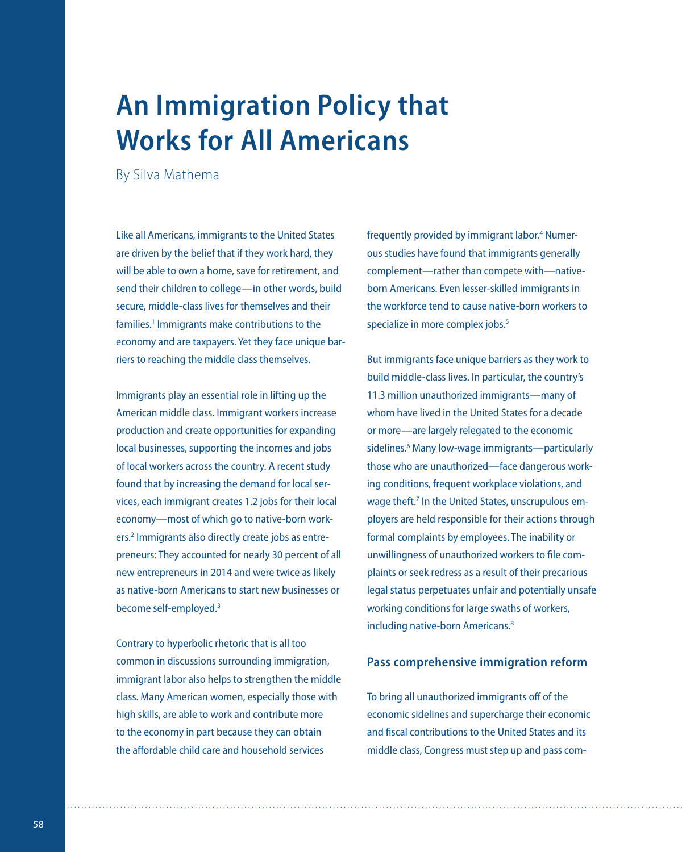## **An Immigration Policy that Works for All Americans**

By Silva Mathema

Like all Americans, immigrants to the United States are driven by the belief that if they work hard, they will be able to own a home, save for retirement, and send their children to college—in other words, build secure, middle-class lives for themselves and their families.<sup>1</sup> Immigrants make contributions to the economy and are taxpayers. Yet they face unique barriers to reaching the middle class themselves.

Immigrants play an essential role in lifting up the American middle class. Immigrant workers increase production and create opportunities for expanding local businesses, supporting the incomes and jobs of local workers across the country. A recent study found that by increasing the demand for local services, each immigrant creates 1.2 jobs for their local economy—most of which go to native-born workers.<sup>2</sup> Immigrants also directly create jobs as entrepreneurs: They accounted for nearly 30 percent of all new entrepreneurs in 2014 and were twice as likely as native-born Americans to start new businesses or become self-employed.<sup>3</sup>

Contrary to hyperbolic rhetoric that is all too common in discussions surrounding immigration, immigrant labor also helps to strengthen the middle class. Many American women, especially those with high skills, are able to work and contribute more to the economy in part because they can obtain the affordable child care and household services

frequently provided by immigrant labor.<sup>4</sup> Numerous studies have found that immigrants generally complement—rather than compete with—nativeborn Americans. Even lesser-skilled immigrants in the workforce tend to cause native-born workers to specialize in more complex jobs.<sup>5</sup>

But immigrants face unique barriers as they work to build middle-class lives. In particular, the country's 11.3 million unauthorized immigrants—many of whom have lived in the United States for a decade or more—are largely relegated to the economic sidelines.<sup>6</sup> Many low-wage immigrants-particularly those who are unauthorized—face dangerous working conditions, frequent workplace violations, and wage theft.<sup>7</sup> In the United States, unscrupulous employers are held responsible for their actions through formal complaints by employees. The inability or unwillingness of unauthorized workers to file complaints or seek redress as a result of their precarious legal status perpetuates unfair and potentially unsafe working conditions for large swaths of workers, including native-born Americans.<sup>8</sup>

## **Pass comprehensive immigration reform**

To bring all unauthorized immigrants off of the economic sidelines and supercharge their economic and fiscal contributions to the United States and its middle class, Congress must step up and pass com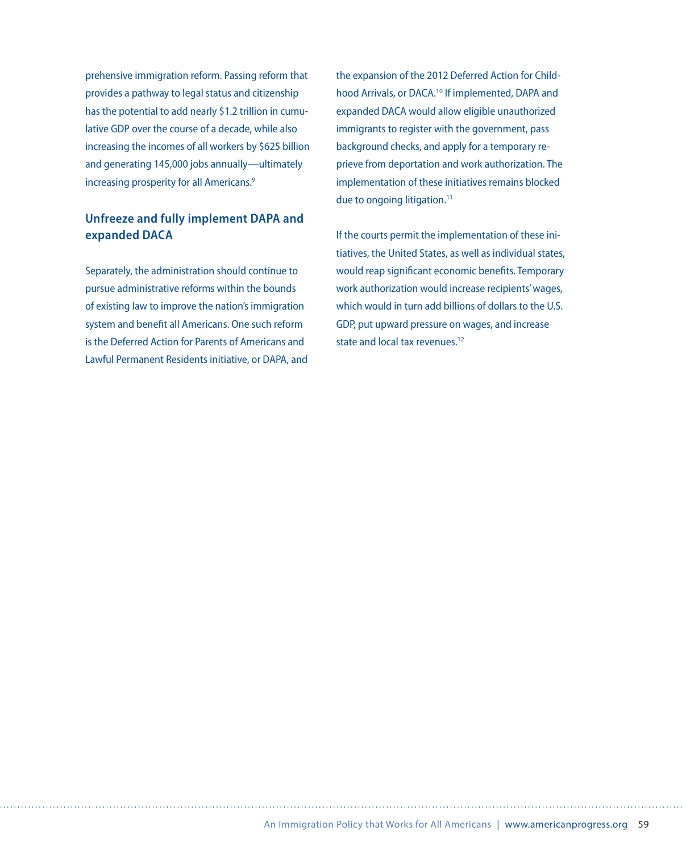prehensive immigration reform. Passing reform that provides a pathway to legal status and citizenship has the potential to add nearly \$1.2 trillion in cumulative GDP over the course of a decade, while also increasing the incomes of all workers by \$625 billion and generating 145,000 jobs annually—ultimately increasing prosperity for all Americans.<sup>9</sup>

## **Unfreeze and fully implement DAPA and expanded DACA**

Separately, the administration should continue to pursue administrative reforms within the bounds of existing law to improve the nation's immigration system and benefit all Americans. One such reform is the Deferred Action for Parents of Americans and Lawful Permanent Residents initiative, or DAPA, and

the expansion of the 2012 Deferred Action for Childhood Arrivals, or DACA.<sup>10</sup> If implemented, DAPA and expanded DACA would allow eligible unauthorized immigrants to register with the government, pass background checks, and apply for a temporary reprieve from deportation and work authorization. The implementation of these initiatives remains blocked due to ongoing litigation.<sup>11</sup>

If the courts permit the implementation of these initiatives, the United States, as well as individual states, would reap significant economic benefits. Temporary work authorization would increase recipients' wages, which would in turn add billions of dollars to the U.S. GDP, put upward pressure on wages, and increase state and local tax revenues. $12$